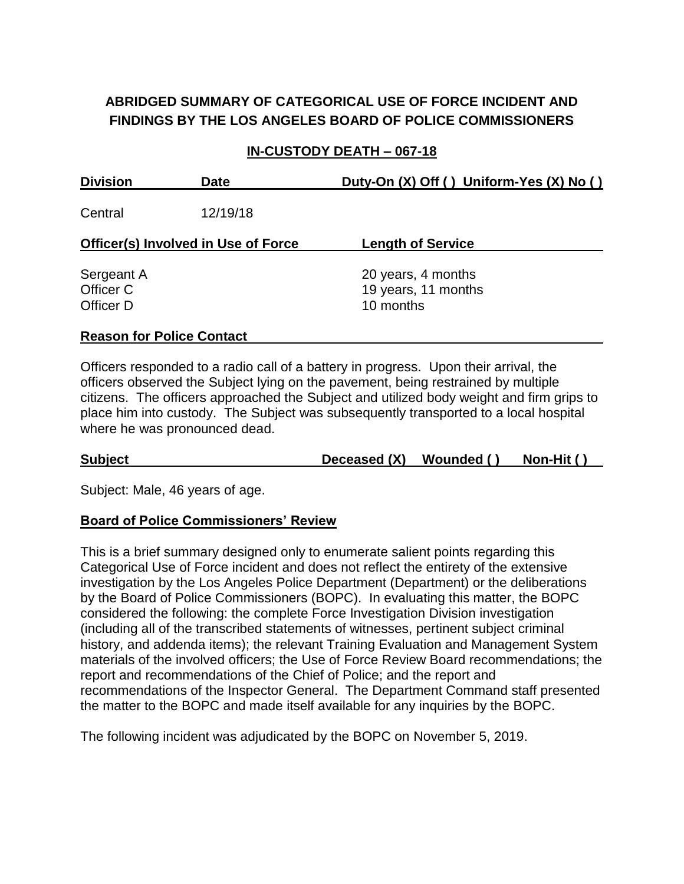# **ABRIDGED SUMMARY OF CATEGORICAL USE OF FORCE INCIDENT AND FINDINGS BY THE LOS ANGELES BOARD OF POLICE COMMISSIONERS**

#### **IN-CUSTODY DEATH – 067-18**

| <b>Division</b>                            | <b>Date</b> | Duty-On (X) Off () Uniform-Yes (X) No ()               |
|--------------------------------------------|-------------|--------------------------------------------------------|
| Central                                    | 12/19/18    |                                                        |
| <b>Officer(s) Involved in Use of Force</b> |             | <b>Length of Service</b>                               |
| Sergeant A<br>Officer C<br>Officer D       |             | 20 years, 4 months<br>19 years, 11 months<br>10 months |

#### **Reason for Police Contact**

Officers responded to a radio call of a battery in progress. Upon their arrival, the officers observed the Subject lying on the pavement, being restrained by multiple citizens. The officers approached the Subject and utilized body weight and firm grips to place him into custody. The Subject was subsequently transported to a local hospital where he was pronounced dead.

**Subject Deceased (X) Wounded ( ) Non-Hit ( )**

Subject: Male, 46 years of age.

#### **Board of Police Commissioners' Review**

This is a brief summary designed only to enumerate salient points regarding this Categorical Use of Force incident and does not reflect the entirety of the extensive investigation by the Los Angeles Police Department (Department) or the deliberations by the Board of Police Commissioners (BOPC). In evaluating this matter, the BOPC considered the following: the complete Force Investigation Division investigation (including all of the transcribed statements of witnesses, pertinent subject criminal history, and addenda items); the relevant Training Evaluation and Management System materials of the involved officers; the Use of Force Review Board recommendations; the report and recommendations of the Chief of Police; and the report and recommendations of the Inspector General. The Department Command staff presented the matter to the BOPC and made itself available for any inquiries by the BOPC.

The following incident was adjudicated by the BOPC on November 5, 2019.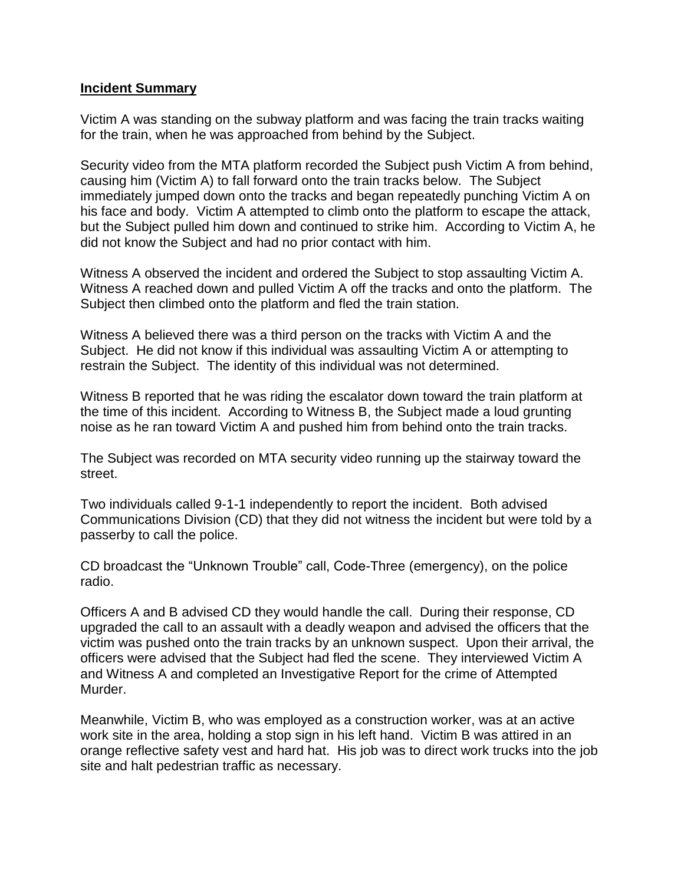#### **Incident Summary**

Victim A was standing on the subway platform and was facing the train tracks waiting for the train, when he was approached from behind by the Subject.

Security video from the MTA platform recorded the Subject push Victim A from behind, causing him (Victim A) to fall forward onto the train tracks below. The Subject immediately jumped down onto the tracks and began repeatedly punching Victim A on his face and body. Victim A attempted to climb onto the platform to escape the attack, but the Subject pulled him down and continued to strike him. According to Victim A, he did not know the Subject and had no prior contact with him.

Witness A observed the incident and ordered the Subject to stop assaulting Victim A. Witness A reached down and pulled Victim A off the tracks and onto the platform. The Subject then climbed onto the platform and fled the train station.

Witness A believed there was a third person on the tracks with Victim A and the Subject. He did not know if this individual was assaulting Victim A or attempting to restrain the Subject. The identity of this individual was not determined.

Witness B reported that he was riding the escalator down toward the train platform at the time of this incident. According to Witness B, the Subject made a loud grunting noise as he ran toward Victim A and pushed him from behind onto the train tracks.

The Subject was recorded on MTA security video running up the stairway toward the street.

Two individuals called 9-1-1 independently to report the incident. Both advised Communications Division (CD) that they did not witness the incident but were told by a passerby to call the police.

CD broadcast the "Unknown Trouble" call, Code-Three (emergency), on the police radio.

Officers A and B advised CD they would handle the call. During their response, CD upgraded the call to an assault with a deadly weapon and advised the officers that the victim was pushed onto the train tracks by an unknown suspect. Upon their arrival, the officers were advised that the Subject had fled the scene. They interviewed Victim A and Witness A and completed an Investigative Report for the crime of Attempted Murder.

Meanwhile, Victim B, who was employed as a construction worker, was at an active work site in the area, holding a stop sign in his left hand. Victim B was attired in an orange reflective safety vest and hard hat. His job was to direct work trucks into the job site and halt pedestrian traffic as necessary.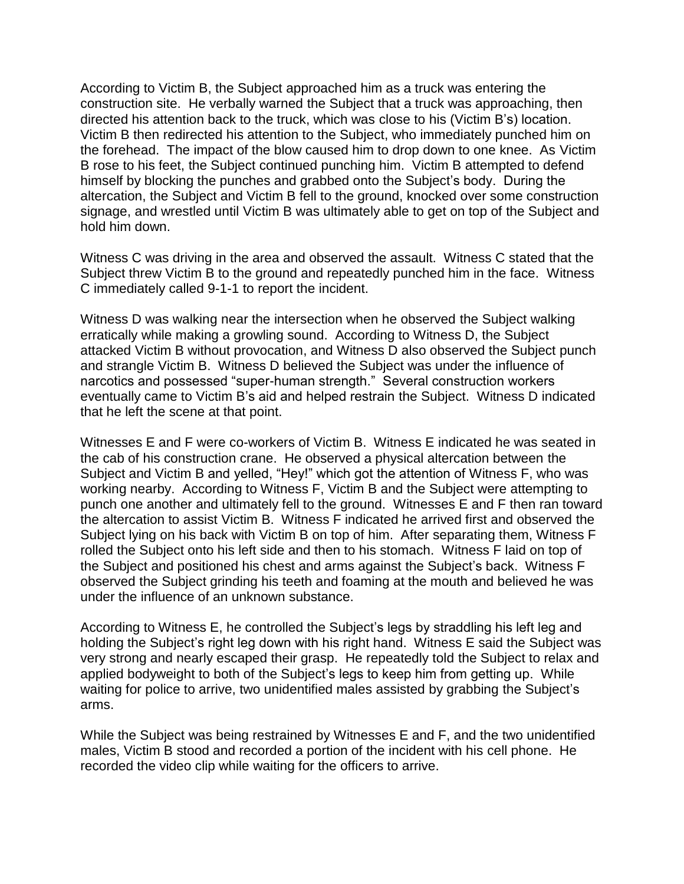According to Victim B, the Subject approached him as a truck was entering the construction site. He verbally warned the Subject that a truck was approaching, then directed his attention back to the truck, which was close to his (Victim B's) location. Victim B then redirected his attention to the Subject, who immediately punched him on the forehead. The impact of the blow caused him to drop down to one knee. As Victim B rose to his feet, the Subject continued punching him. Victim B attempted to defend himself by blocking the punches and grabbed onto the Subject's body. During the altercation, the Subject and Victim B fell to the ground, knocked over some construction signage, and wrestled until Victim B was ultimately able to get on top of the Subject and hold him down.

Witness C was driving in the area and observed the assault. Witness C stated that the Subject threw Victim B to the ground and repeatedly punched him in the face. Witness C immediately called 9-1-1 to report the incident.

Witness D was walking near the intersection when he observed the Subject walking erratically while making a growling sound. According to Witness D, the Subject attacked Victim B without provocation, and Witness D also observed the Subject punch and strangle Victim B. Witness D believed the Subject was under the influence of narcotics and possessed "super-human strength." Several construction workers eventually came to Victim B's aid and helped restrain the Subject. Witness D indicated that he left the scene at that point.

Witnesses E and F were co-workers of Victim B. Witness E indicated he was seated in the cab of his construction crane. He observed a physical altercation between the Subject and Victim B and yelled, "Hey!" which got the attention of Witness F, who was working nearby. According to Witness F, Victim B and the Subject were attempting to punch one another and ultimately fell to the ground. Witnesses E and F then ran toward the altercation to assist Victim B. Witness F indicated he arrived first and observed the Subject lying on his back with Victim B on top of him. After separating them, Witness F rolled the Subject onto his left side and then to his stomach. Witness F laid on top of the Subject and positioned his chest and arms against the Subject's back. Witness F observed the Subject grinding his teeth and foaming at the mouth and believed he was under the influence of an unknown substance.

According to Witness E, he controlled the Subject's legs by straddling his left leg and holding the Subject's right leg down with his right hand. Witness E said the Subject was very strong and nearly escaped their grasp. He repeatedly told the Subject to relax and applied bodyweight to both of the Subject's legs to keep him from getting up. While waiting for police to arrive, two unidentified males assisted by grabbing the Subject's arms.

While the Subject was being restrained by Witnesses E and F, and the two unidentified males, Victim B stood and recorded a portion of the incident with his cell phone. He recorded the video clip while waiting for the officers to arrive.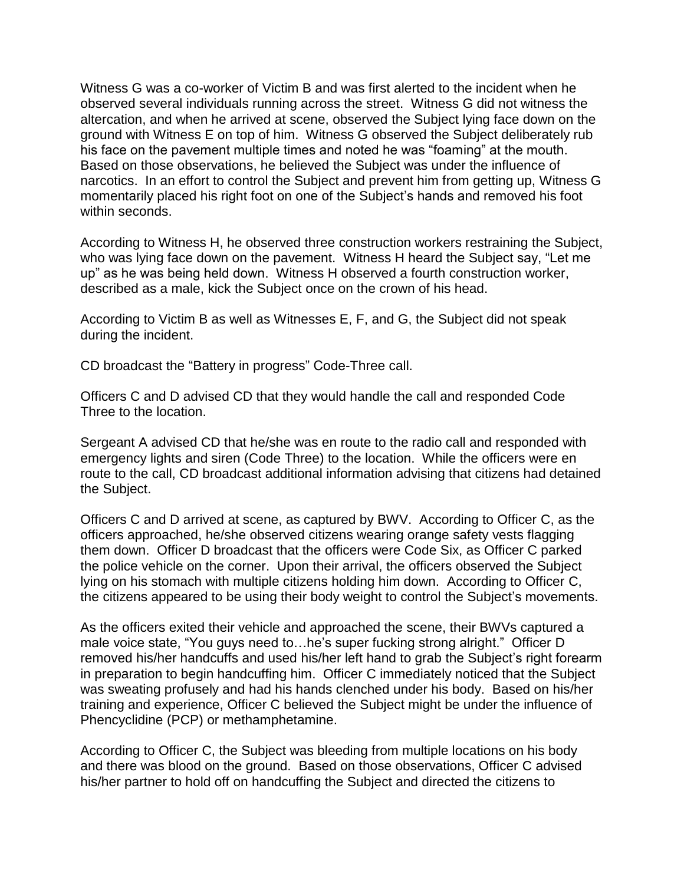Witness G was a co-worker of Victim B and was first alerted to the incident when he observed several individuals running across the street. Witness G did not witness the altercation, and when he arrived at scene, observed the Subject lying face down on the ground with Witness E on top of him. Witness G observed the Subject deliberately rub his face on the pavement multiple times and noted he was "foaming" at the mouth. Based on those observations, he believed the Subject was under the influence of narcotics. In an effort to control the Subject and prevent him from getting up, Witness G momentarily placed his right foot on one of the Subject's hands and removed his foot within seconds.

According to Witness H, he observed three construction workers restraining the Subject, who was lying face down on the pavement. Witness H heard the Subject say, "Let me up" as he was being held down. Witness H observed a fourth construction worker, described as a male, kick the Subject once on the crown of his head.

According to Victim B as well as Witnesses E, F, and G, the Subject did not speak during the incident.

CD broadcast the "Battery in progress" Code-Three call.

Officers C and D advised CD that they would handle the call and responded Code Three to the location.

Sergeant A advised CD that he/she was en route to the radio call and responded with emergency lights and siren (Code Three) to the location. While the officers were en route to the call, CD broadcast additional information advising that citizens had detained the Subject.

Officers C and D arrived at scene, as captured by BWV. According to Officer C, as the officers approached, he/she observed citizens wearing orange safety vests flagging them down. Officer D broadcast that the officers were Code Six, as Officer C parked the police vehicle on the corner. Upon their arrival, the officers observed the Subject lying on his stomach with multiple citizens holding him down. According to Officer C, the citizens appeared to be using their body weight to control the Subject's movements.

As the officers exited their vehicle and approached the scene, their BWVs captured a male voice state, "You guys need to…he's super fucking strong alright." Officer D removed his/her handcuffs and used his/her left hand to grab the Subject's right forearm in preparation to begin handcuffing him. Officer C immediately noticed that the Subject was sweating profusely and had his hands clenched under his body. Based on his/her training and experience, Officer C believed the Subject might be under the influence of Phencyclidine (PCP) or methamphetamine.

According to Officer C, the Subject was bleeding from multiple locations on his body and there was blood on the ground. Based on those observations, Officer C advised his/her partner to hold off on handcuffing the Subject and directed the citizens to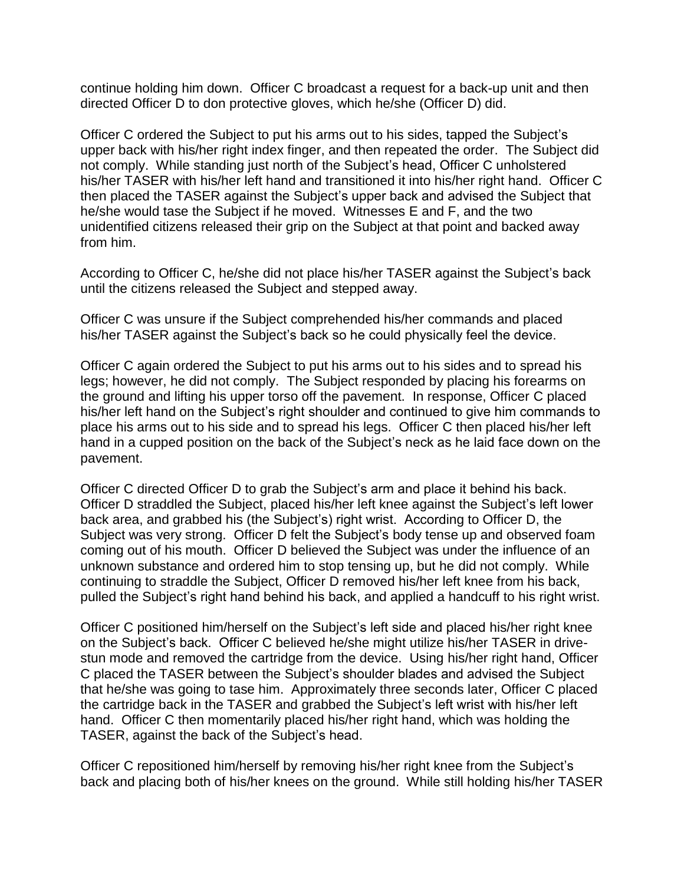continue holding him down. Officer C broadcast a request for a back-up unit and then directed Officer D to don protective gloves, which he/she (Officer D) did.

Officer C ordered the Subject to put his arms out to his sides, tapped the Subject's upper back with his/her right index finger, and then repeated the order. The Subject did not comply. While standing just north of the Subject's head, Officer C unholstered his/her TASER with his/her left hand and transitioned it into his/her right hand. Officer C then placed the TASER against the Subject's upper back and advised the Subject that he/she would tase the Subject if he moved. Witnesses E and F, and the two unidentified citizens released their grip on the Subject at that point and backed away from him.

According to Officer C, he/she did not place his/her TASER against the Subject's back until the citizens released the Subject and stepped away.

Officer C was unsure if the Subject comprehended his/her commands and placed his/her TASER against the Subject's back so he could physically feel the device.

Officer C again ordered the Subject to put his arms out to his sides and to spread his legs; however, he did not comply. The Subject responded by placing his forearms on the ground and lifting his upper torso off the pavement. In response, Officer C placed his/her left hand on the Subject's right shoulder and continued to give him commands to place his arms out to his side and to spread his legs. Officer C then placed his/her left hand in a cupped position on the back of the Subject's neck as he laid face down on the pavement.

Officer C directed Officer D to grab the Subject's arm and place it behind his back. Officer D straddled the Subject, placed his/her left knee against the Subject's left lower back area, and grabbed his (the Subject's) right wrist. According to Officer D, the Subject was very strong. Officer D felt the Subject's body tense up and observed foam coming out of his mouth. Officer D believed the Subject was under the influence of an unknown substance and ordered him to stop tensing up, but he did not comply. While continuing to straddle the Subject, Officer D removed his/her left knee from his back, pulled the Subject's right hand behind his back, and applied a handcuff to his right wrist.

Officer C positioned him/herself on the Subject's left side and placed his/her right knee on the Subject's back. Officer C believed he/she might utilize his/her TASER in drivestun mode and removed the cartridge from the device. Using his/her right hand, Officer C placed the TASER between the Subject's shoulder blades and advised the Subject that he/she was going to tase him. Approximately three seconds later, Officer C placed the cartridge back in the TASER and grabbed the Subject's left wrist with his/her left hand. Officer C then momentarily placed his/her right hand, which was holding the TASER, against the back of the Subject's head.

Officer C repositioned him/herself by removing his/her right knee from the Subject's back and placing both of his/her knees on the ground. While still holding his/her TASER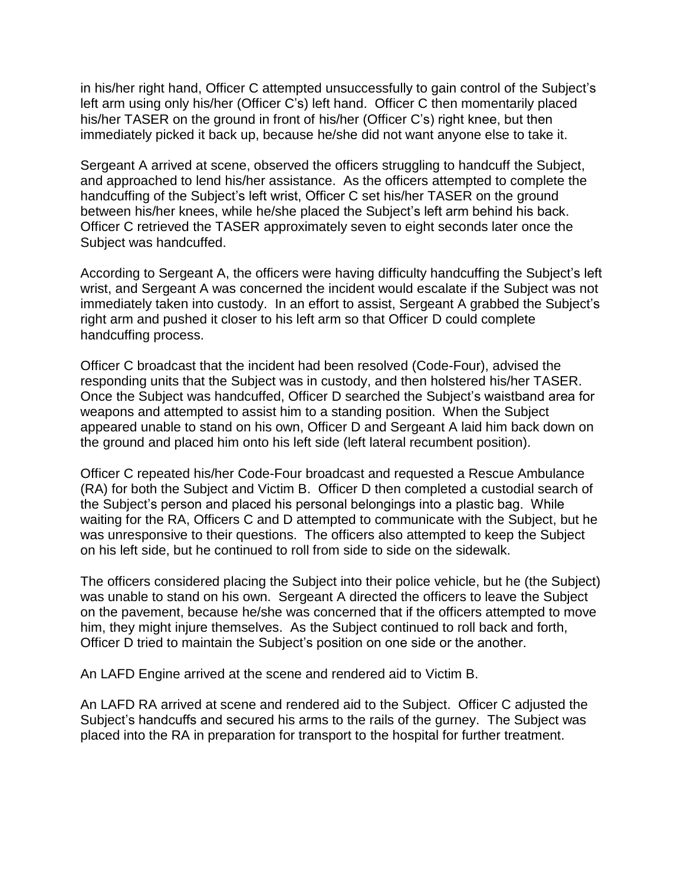in his/her right hand, Officer C attempted unsuccessfully to gain control of the Subject's left arm using only his/her (Officer C's) left hand. Officer C then momentarily placed his/her TASER on the ground in front of his/her (Officer C's) right knee, but then immediately picked it back up, because he/she did not want anyone else to take it.

Sergeant A arrived at scene, observed the officers struggling to handcuff the Subject, and approached to lend his/her assistance. As the officers attempted to complete the handcuffing of the Subject's left wrist, Officer C set his/her TASER on the ground between his/her knees, while he/she placed the Subject's left arm behind his back. Officer C retrieved the TASER approximately seven to eight seconds later once the Subject was handcuffed.

According to Sergeant A, the officers were having difficulty handcuffing the Subject's left wrist, and Sergeant A was concerned the incident would escalate if the Subject was not immediately taken into custody. In an effort to assist, Sergeant A grabbed the Subject's right arm and pushed it closer to his left arm so that Officer D could complete handcuffing process.

Officer C broadcast that the incident had been resolved (Code-Four), advised the responding units that the Subject was in custody, and then holstered his/her TASER. Once the Subject was handcuffed, Officer D searched the Subject's waistband area for weapons and attempted to assist him to a standing position. When the Subject appeared unable to stand on his own, Officer D and Sergeant A laid him back down on the ground and placed him onto his left side (left lateral recumbent position).

Officer C repeated his/her Code-Four broadcast and requested a Rescue Ambulance (RA) for both the Subject and Victim B. Officer D then completed a custodial search of the Subject's person and placed his personal belongings into a plastic bag. While waiting for the RA, Officers C and D attempted to communicate with the Subject, but he was unresponsive to their questions. The officers also attempted to keep the Subject on his left side, but he continued to roll from side to side on the sidewalk.

The officers considered placing the Subject into their police vehicle, but he (the Subject) was unable to stand on his own. Sergeant A directed the officers to leave the Subject on the pavement, because he/she was concerned that if the officers attempted to move him, they might injure themselves. As the Subject continued to roll back and forth, Officer D tried to maintain the Subject's position on one side or the another.

An LAFD Engine arrived at the scene and rendered aid to Victim B.

An LAFD RA arrived at scene and rendered aid to the Subject. Officer C adjusted the Subject's handcuffs and secured his arms to the rails of the gurney. The Subject was placed into the RA in preparation for transport to the hospital for further treatment.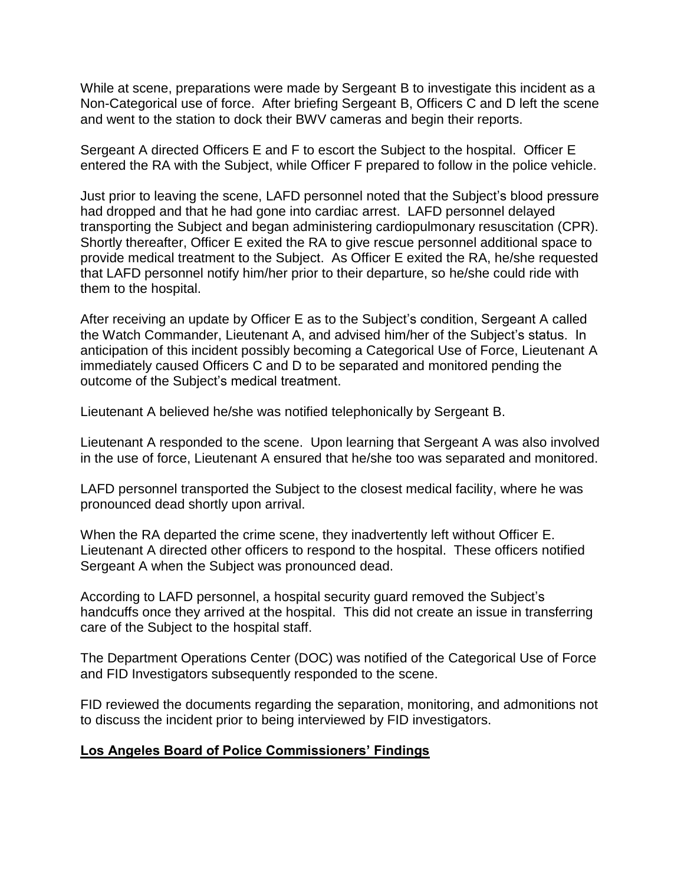While at scene, preparations were made by Sergeant B to investigate this incident as a Non-Categorical use of force. After briefing Sergeant B, Officers C and D left the scene and went to the station to dock their BWV cameras and begin their reports.

Sergeant A directed Officers E and F to escort the Subject to the hospital. Officer E entered the RA with the Subject, while Officer F prepared to follow in the police vehicle.

Just prior to leaving the scene, LAFD personnel noted that the Subject's blood pressure had dropped and that he had gone into cardiac arrest. LAFD personnel delayed transporting the Subject and began administering cardiopulmonary resuscitation (CPR). Shortly thereafter, Officer E exited the RA to give rescue personnel additional space to provide medical treatment to the Subject. As Officer E exited the RA, he/she requested that LAFD personnel notify him/her prior to their departure, so he/she could ride with them to the hospital.

After receiving an update by Officer E as to the Subject's condition, Sergeant A called the Watch Commander, Lieutenant A, and advised him/her of the Subject's status. In anticipation of this incident possibly becoming a Categorical Use of Force, Lieutenant A immediately caused Officers C and D to be separated and monitored pending the outcome of the Subject's medical treatment.

Lieutenant A believed he/she was notified telephonically by Sergeant B.

Lieutenant A responded to the scene. Upon learning that Sergeant A was also involved in the use of force, Lieutenant A ensured that he/she too was separated and monitored.

LAFD personnel transported the Subject to the closest medical facility, where he was pronounced dead shortly upon arrival.

When the RA departed the crime scene, they inadvertently left without Officer E. Lieutenant A directed other officers to respond to the hospital. These officers notified Sergeant A when the Subject was pronounced dead.

According to LAFD personnel, a hospital security guard removed the Subject's handcuffs once they arrived at the hospital. This did not create an issue in transferring care of the Subject to the hospital staff.

The Department Operations Center (DOC) was notified of the Categorical Use of Force and FID Investigators subsequently responded to the scene.

FID reviewed the documents regarding the separation, monitoring, and admonitions not to discuss the incident prior to being interviewed by FID investigators.

## **Los Angeles Board of Police Commissioners' Findings**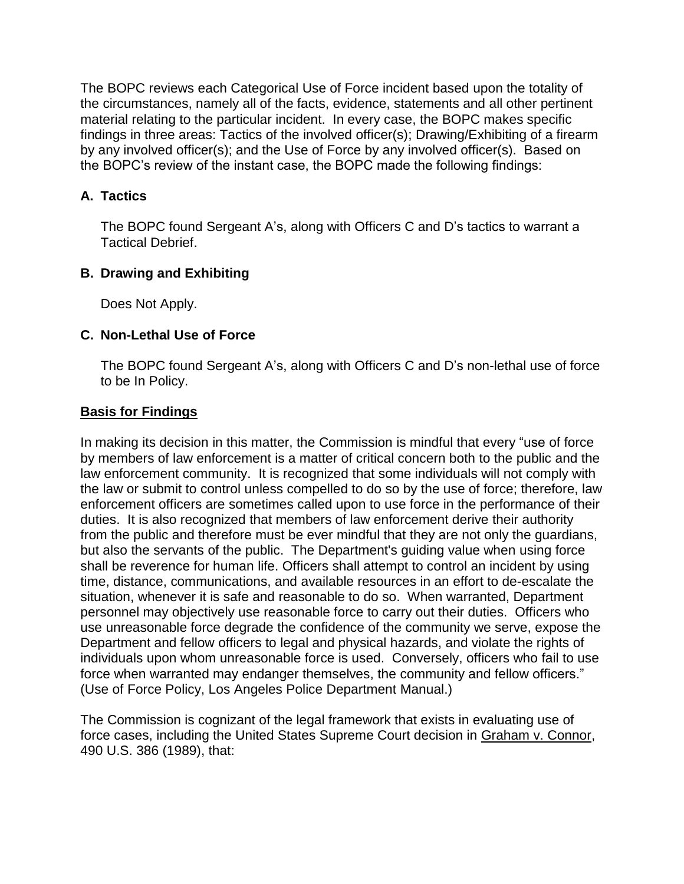The BOPC reviews each Categorical Use of Force incident based upon the totality of the circumstances, namely all of the facts, evidence, statements and all other pertinent material relating to the particular incident. In every case, the BOPC makes specific findings in three areas: Tactics of the involved officer(s); Drawing/Exhibiting of a firearm by any involved officer(s); and the Use of Force by any involved officer(s). Based on the BOPC's review of the instant case, the BOPC made the following findings:

### **A. Tactics**

The BOPC found Sergeant A's, along with Officers C and D's tactics to warrant a Tactical Debrief.

## **B. Drawing and Exhibiting**

Does Not Apply.

### **C. Non-Lethal Use of Force**

The BOPC found Sergeant A's, along with Officers C and D's non-lethal use of force to be In Policy.

### **Basis for Findings**

In making its decision in this matter, the Commission is mindful that every "use of force by members of law enforcement is a matter of critical concern both to the public and the law enforcement community. It is recognized that some individuals will not comply with the law or submit to control unless compelled to do so by the use of force; therefore, law enforcement officers are sometimes called upon to use force in the performance of their duties. It is also recognized that members of law enforcement derive their authority from the public and therefore must be ever mindful that they are not only the guardians, but also the servants of the public. The Department's guiding value when using force shall be reverence for human life. Officers shall attempt to control an incident by using time, distance, communications, and available resources in an effort to de-escalate the situation, whenever it is safe and reasonable to do so. When warranted, Department personnel may objectively use reasonable force to carry out their duties. Officers who use unreasonable force degrade the confidence of the community we serve, expose the Department and fellow officers to legal and physical hazards, and violate the rights of individuals upon whom unreasonable force is used. Conversely, officers who fail to use force when warranted may endanger themselves, the community and fellow officers." (Use of Force Policy, Los Angeles Police Department Manual.)

The Commission is cognizant of the legal framework that exists in evaluating use of force cases, including the United States Supreme Court decision in Graham v. Connor, 490 U.S. 386 (1989), that: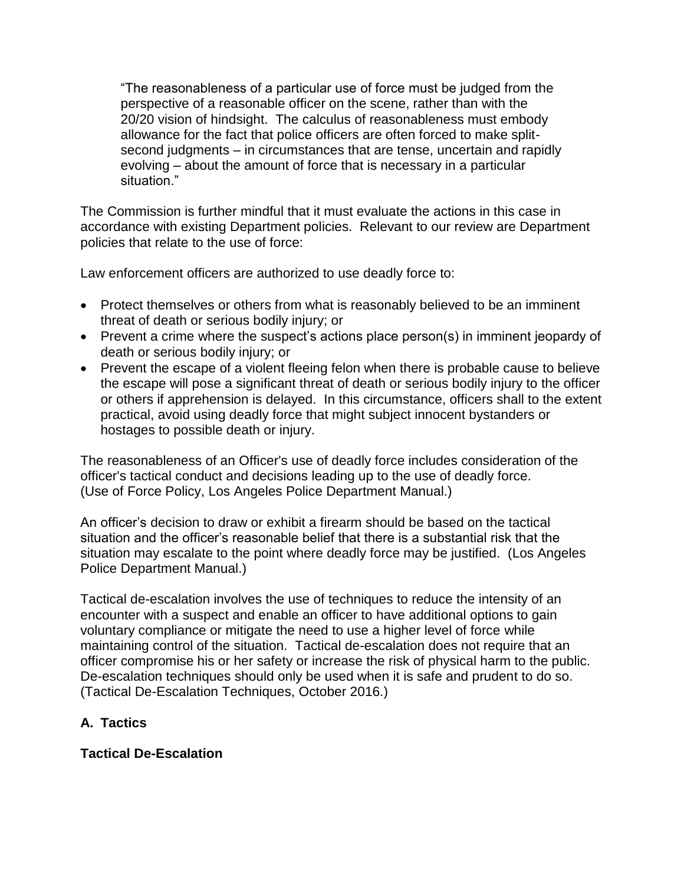"The reasonableness of a particular use of force must be judged from the perspective of a reasonable officer on the scene, rather than with the 20/20 vision of hindsight. The calculus of reasonableness must embody allowance for the fact that police officers are often forced to make splitsecond judgments – in circumstances that are tense, uncertain and rapidly evolving – about the amount of force that is necessary in a particular situation."

The Commission is further mindful that it must evaluate the actions in this case in accordance with existing Department policies. Relevant to our review are Department policies that relate to the use of force:

Law enforcement officers are authorized to use deadly force to:

- Protect themselves or others from what is reasonably believed to be an imminent threat of death or serious bodily injury; or
- Prevent a crime where the suspect's actions place person(s) in imminent jeopardy of death or serious bodily injury; or
- Prevent the escape of a violent fleeing felon when there is probable cause to believe the escape will pose a significant threat of death or serious bodily injury to the officer or others if apprehension is delayed. In this circumstance, officers shall to the extent practical, avoid using deadly force that might subject innocent bystanders or hostages to possible death or injury.

The reasonableness of an Officer's use of deadly force includes consideration of the officer's tactical conduct and decisions leading up to the use of deadly force. (Use of Force Policy, Los Angeles Police Department Manual.)

An officer's decision to draw or exhibit a firearm should be based on the tactical situation and the officer's reasonable belief that there is a substantial risk that the situation may escalate to the point where deadly force may be justified. (Los Angeles Police Department Manual.)

Tactical de-escalation involves the use of techniques to reduce the intensity of an encounter with a suspect and enable an officer to have additional options to gain voluntary compliance or mitigate the need to use a higher level of force while maintaining control of the situation. Tactical de-escalation does not require that an officer compromise his or her safety or increase the risk of physical harm to the public. De-escalation techniques should only be used when it is safe and prudent to do so. (Tactical De-Escalation Techniques, October 2016.)

## **A. Tactics**

**Tactical De-Escalation**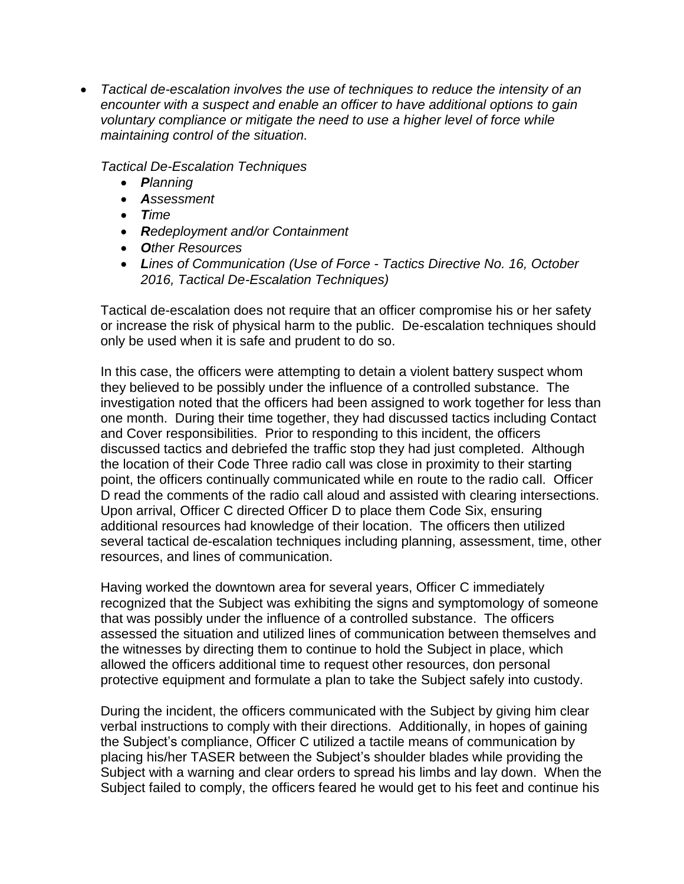• *Tactical de-escalation involves the use of techniques to reduce the intensity of an encounter with a suspect and enable an officer to have additional options to gain voluntary compliance or mitigate the need to use a higher level of force while maintaining control of the situation.*

*Tactical De-Escalation Techniques*

- *Planning*
- *Assessment*
- *Time*
- *Redeployment and/or Containment*
- *Other Resources*
- *Lines of Communication (Use of Force - Tactics Directive No. 16, October 2016, Tactical De-Escalation Techniques)*

Tactical de-escalation does not require that an officer compromise his or her safety or increase the risk of physical harm to the public. De-escalation techniques should only be used when it is safe and prudent to do so.

In this case, the officers were attempting to detain a violent battery suspect whom they believed to be possibly under the influence of a controlled substance. The investigation noted that the officers had been assigned to work together for less than one month. During their time together, they had discussed tactics including Contact and Cover responsibilities. Prior to responding to this incident, the officers discussed tactics and debriefed the traffic stop they had just completed. Although the location of their Code Three radio call was close in proximity to their starting point, the officers continually communicated while en route to the radio call. Officer D read the comments of the radio call aloud and assisted with clearing intersections. Upon arrival, Officer C directed Officer D to place them Code Six, ensuring additional resources had knowledge of their location. The officers then utilized several tactical de-escalation techniques including planning, assessment, time, other resources, and lines of communication.

Having worked the downtown area for several years, Officer C immediately recognized that the Subject was exhibiting the signs and symptomology of someone that was possibly under the influence of a controlled substance. The officers assessed the situation and utilized lines of communication between themselves and the witnesses by directing them to continue to hold the Subject in place, which allowed the officers additional time to request other resources, don personal protective equipment and formulate a plan to take the Subject safely into custody.

During the incident, the officers communicated with the Subject by giving him clear verbal instructions to comply with their directions. Additionally, in hopes of gaining the Subject's compliance, Officer C utilized a tactile means of communication by placing his/her TASER between the Subject's shoulder blades while providing the Subject with a warning and clear orders to spread his limbs and lay down. When the Subject failed to comply, the officers feared he would get to his feet and continue his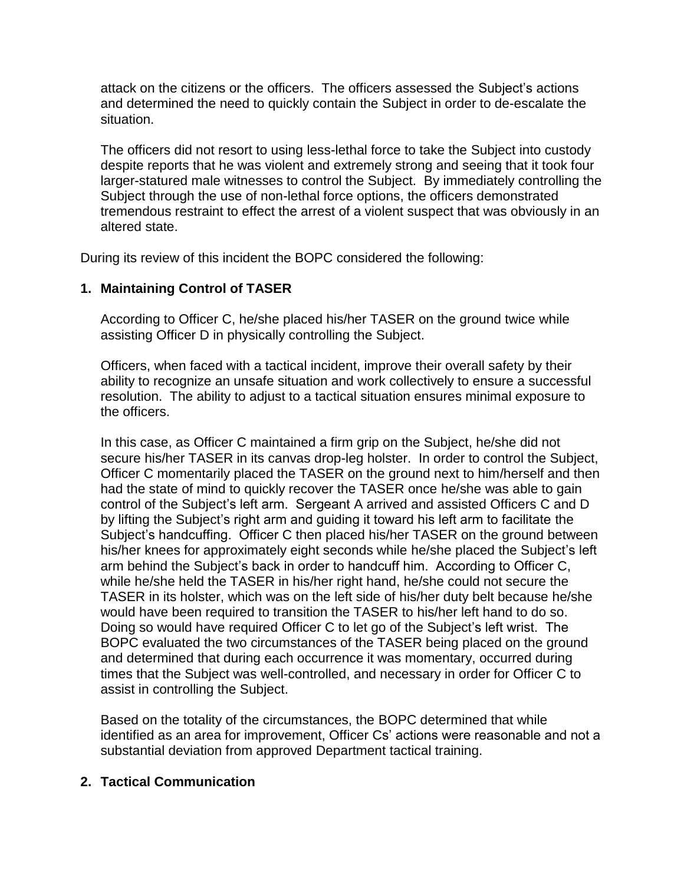attack on the citizens or the officers. The officers assessed the Subject's actions and determined the need to quickly contain the Subject in order to de-escalate the situation.

The officers did not resort to using less-lethal force to take the Subject into custody despite reports that he was violent and extremely strong and seeing that it took four larger-statured male witnesses to control the Subject. By immediately controlling the Subject through the use of non-lethal force options, the officers demonstrated tremendous restraint to effect the arrest of a violent suspect that was obviously in an altered state.

During its review of this incident the BOPC considered the following:

## **1. Maintaining Control of TASER**

According to Officer C, he/she placed his/her TASER on the ground twice while assisting Officer D in physically controlling the Subject.

Officers, when faced with a tactical incident, improve their overall safety by their ability to recognize an unsafe situation and work collectively to ensure a successful resolution. The ability to adjust to a tactical situation ensures minimal exposure to the officers.

In this case, as Officer C maintained a firm grip on the Subject, he/she did not secure his/her TASER in its canvas drop-leg holster. In order to control the Subject, Officer C momentarily placed the TASER on the ground next to him/herself and then had the state of mind to quickly recover the TASER once he/she was able to gain control of the Subject's left arm. Sergeant A arrived and assisted Officers C and D by lifting the Subject's right arm and guiding it toward his left arm to facilitate the Subject's handcuffing. Officer C then placed his/her TASER on the ground between his/her knees for approximately eight seconds while he/she placed the Subject's left arm behind the Subject's back in order to handcuff him. According to Officer C, while he/she held the TASER in his/her right hand, he/she could not secure the TASER in its holster, which was on the left side of his/her duty belt because he/she would have been required to transition the TASER to his/her left hand to do so. Doing so would have required Officer C to let go of the Subject's left wrist. The BOPC evaluated the two circumstances of the TASER being placed on the ground and determined that during each occurrence it was momentary, occurred during times that the Subject was well-controlled, and necessary in order for Officer C to assist in controlling the Subject.

Based on the totality of the circumstances, the BOPC determined that while identified as an area for improvement, Officer Cs' actions were reasonable and not a substantial deviation from approved Department tactical training.

## **2. Tactical Communication**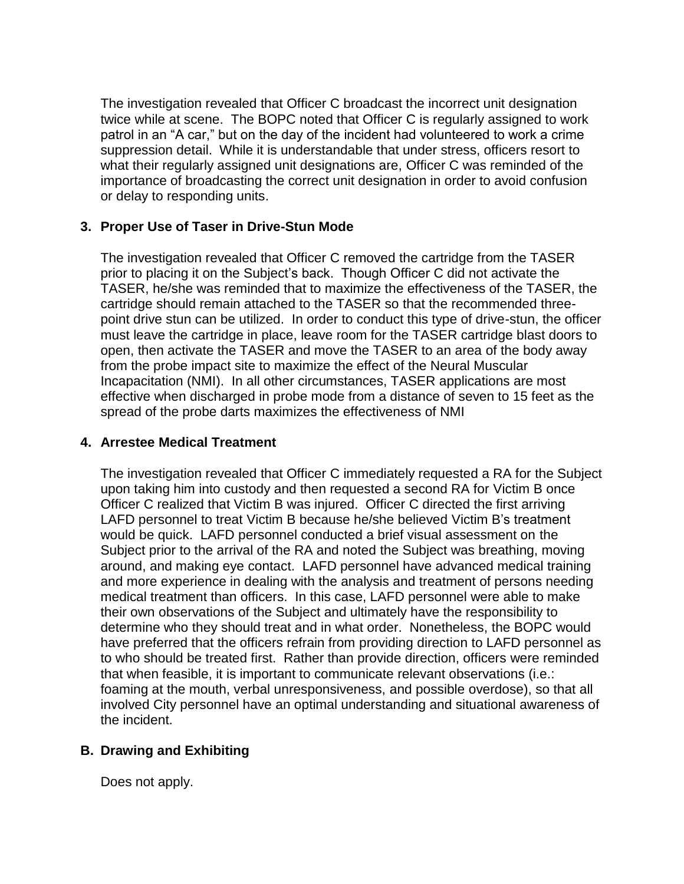The investigation revealed that Officer C broadcast the incorrect unit designation twice while at scene.The BOPC noted that Officer C is regularly assigned to work patrol in an "A car," but on the day of the incident had volunteered to work a crime suppression detail. While it is understandable that under stress, officers resort to what their regularly assigned unit designations are, Officer C was reminded of the importance of broadcasting the correct unit designation in order to avoid confusion or delay to responding units.

### **3. Proper Use of Taser in Drive-Stun Mode**

The investigation revealed that Officer C removed the cartridge from the TASER prior to placing it on the Subject's back. Though Officer C did not activate the TASER, he/she was reminded that to maximize the effectiveness of the TASER, the cartridge should remain attached to the TASER so that the recommended threepoint drive stun can be utilized. In order to conduct this type of drive-stun, the officer must leave the cartridge in place, leave room for the TASER cartridge blast doors to open, then activate the TASER and move the TASER to an area of the body away from the probe impact site to maximize the effect of the Neural Muscular Incapacitation (NMI). In all other circumstances, TASER applications are most effective when discharged in probe mode from a distance of seven to 15 feet as the spread of the probe darts maximizes the effectiveness of NMI

#### **4. Arrestee Medical Treatment**

The investigation revealed that Officer C immediately requested a RA for the Subject upon taking him into custody and then requested a second RA for Victim B once Officer C realized that Victim B was injured. Officer C directed the first arriving LAFD personnel to treat Victim B because he/she believed Victim B's treatment would be quick. LAFD personnel conducted a brief visual assessment on the Subject prior to the arrival of the RA and noted the Subject was breathing, moving around, and making eye contact. LAFD personnel have advanced medical training and more experience in dealing with the analysis and treatment of persons needing medical treatment than officers. In this case, LAFD personnel were able to make their own observations of the Subject and ultimately have the responsibility to determine who they should treat and in what order. Nonetheless, the BOPC would have preferred that the officers refrain from providing direction to LAFD personnel as to who should be treated first. Rather than provide direction, officers were reminded that when feasible, it is important to communicate relevant observations (i.e.: foaming at the mouth, verbal unresponsiveness, and possible overdose), so that all involved City personnel have an optimal understanding and situational awareness of the incident.

## **B. Drawing and Exhibiting**

Does not apply.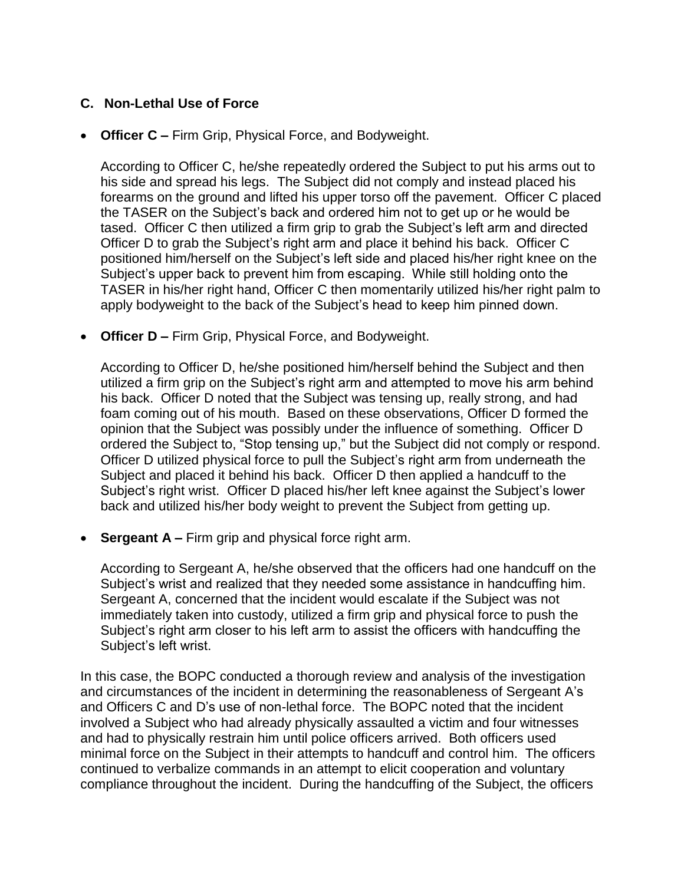## **C. Non-Lethal Use of Force**

• **Officer C –** Firm Grip, Physical Force, and Bodyweight.

According to Officer C, he/she repeatedly ordered the Subject to put his arms out to his side and spread his legs. The Subject did not comply and instead placed his forearms on the ground and lifted his upper torso off the pavement. Officer C placed the TASER on the Subject's back and ordered him not to get up or he would be tased. Officer C then utilized a firm grip to grab the Subject's left arm and directed Officer D to grab the Subject's right arm and place it behind his back. Officer C positioned him/herself on the Subject's left side and placed his/her right knee on the Subject's upper back to prevent him from escaping. While still holding onto the TASER in his/her right hand, Officer C then momentarily utilized his/her right palm to apply bodyweight to the back of the Subject's head to keep him pinned down.

• **Officer D –** Firm Grip, Physical Force, and Bodyweight.

According to Officer D, he/she positioned him/herself behind the Subject and then utilized a firm grip on the Subject's right arm and attempted to move his arm behind his back. Officer D noted that the Subject was tensing up, really strong, and had foam coming out of his mouth. Based on these observations, Officer D formed the opinion that the Subject was possibly under the influence of something. Officer D ordered the Subject to, "Stop tensing up," but the Subject did not comply or respond. Officer D utilized physical force to pull the Subject's right arm from underneath the Subject and placed it behind his back. Officer D then applied a handcuff to the Subject's right wrist. Officer D placed his/her left knee against the Subject's lower back and utilized his/her body weight to prevent the Subject from getting up.

• **Sergeant A –** Firm grip and physical force right arm.

According to Sergeant A, he/she observed that the officers had one handcuff on the Subject's wrist and realized that they needed some assistance in handcuffing him. Sergeant A, concerned that the incident would escalate if the Subject was not immediately taken into custody, utilized a firm grip and physical force to push the Subject's right arm closer to his left arm to assist the officers with handcuffing the Subject's left wrist.

In this case, the BOPC conducted a thorough review and analysis of the investigation and circumstances of the incident in determining the reasonableness of Sergeant A's and Officers C and D's use of non-lethal force. The BOPC noted that the incident involved a Subject who had already physically assaulted a victim and four witnesses and had to physically restrain him until police officers arrived. Both officers used minimal force on the Subject in their attempts to handcuff and control him. The officers continued to verbalize commands in an attempt to elicit cooperation and voluntary compliance throughout the incident. During the handcuffing of the Subject, the officers